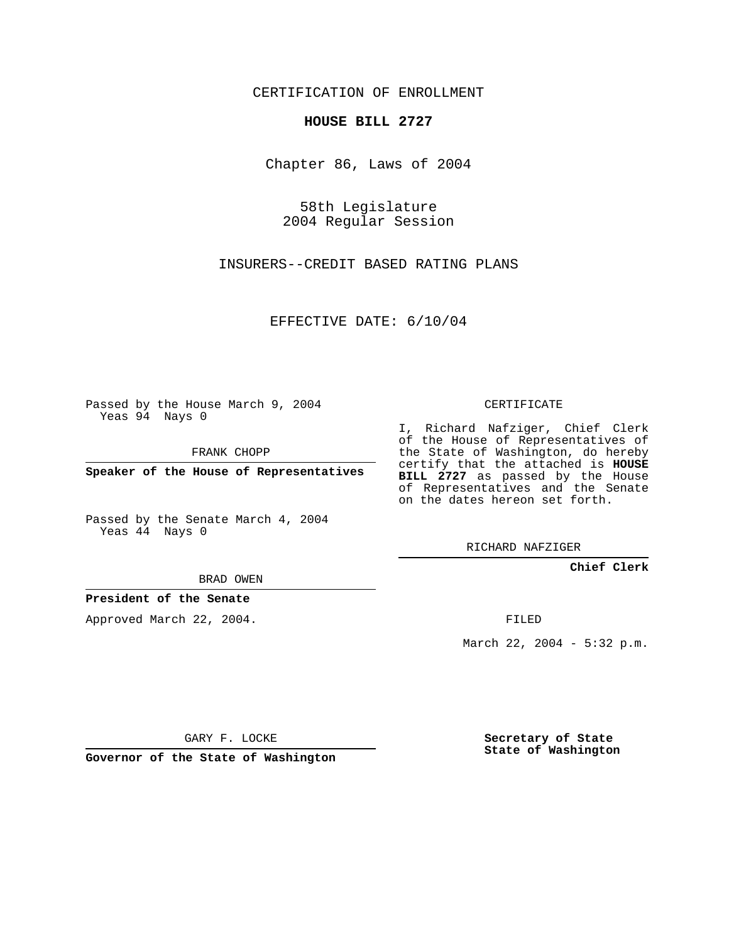CERTIFICATION OF ENROLLMENT

## **HOUSE BILL 2727**

Chapter 86, Laws of 2004

58th Legislature 2004 Regular Session

INSURERS--CREDIT BASED RATING PLANS

EFFECTIVE DATE: 6/10/04

Passed by the House March 9, 2004 Yeas 94 Nays 0

FRANK CHOPP

**Speaker of the House of Representatives**

Passed by the Senate March 4, 2004 Yeas 44 Nays 0

RICHARD NAFZIGER

**Chief Clerk**

BRAD OWEN

**President of the Senate**

Approved March 22, 2004.

FILED

March 22, 2004 - 5:32 p.m.

GARY F. LOCKE

**Governor of the State of Washington**

**Secretary of State State of Washington**

## CERTIFICATE

I, Richard Nafziger, Chief Clerk of the House of Representatives of the State of Washington, do hereby certify that the attached is **HOUSE BILL 2727** as passed by the House of Representatives and the Senate on the dates hereon set forth.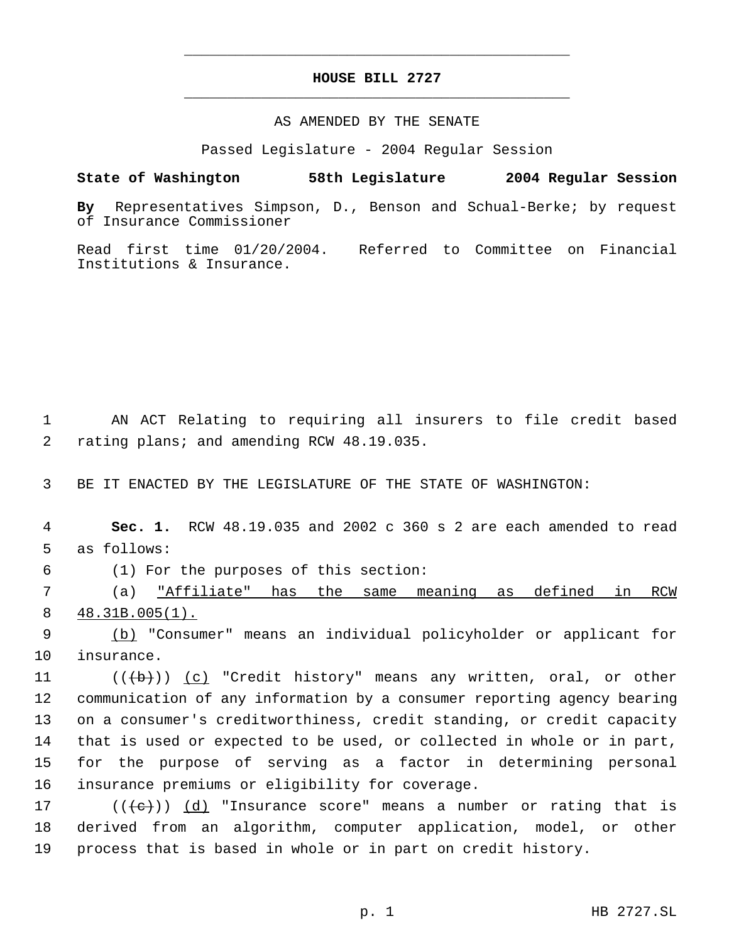## **HOUSE BILL 2727** \_\_\_\_\_\_\_\_\_\_\_\_\_\_\_\_\_\_\_\_\_\_\_\_\_\_\_\_\_\_\_\_\_\_\_\_\_\_\_\_\_\_\_\_\_

\_\_\_\_\_\_\_\_\_\_\_\_\_\_\_\_\_\_\_\_\_\_\_\_\_\_\_\_\_\_\_\_\_\_\_\_\_\_\_\_\_\_\_\_\_

AS AMENDED BY THE SENATE

Passed Legislature - 2004 Regular Session

**State of Washington 58th Legislature 2004 Regular Session By** Representatives Simpson, D., Benson and Schual-Berke; by request

of Insurance Commissioner

Read first time 01/20/2004. Referred to Committee on Financial Institutions & Insurance.

 1 AN ACT Relating to requiring all insurers to file credit based 2 rating plans; and amending RCW 48.19.035.

3 BE IT ENACTED BY THE LEGISLATURE OF THE STATE OF WASHINGTON:

 4 **Sec. 1.** RCW 48.19.035 and 2002 c 360 s 2 are each amended to read 5 as follows:

6 (1) For the purposes of this section:

 7 (a) "Affiliate" has the same meaning as defined in RCW 8 48.31B.005(1).

 9 (b) "Consumer" means an individual policyholder or applicant for 10 insurance.

11 (((+))) (c) "Credit history" means any written, oral, or other communication of any information by a consumer reporting agency bearing on a consumer's creditworthiness, credit standing, or credit capacity that is used or expected to be used, or collected in whole or in part, for the purpose of serving as a factor in determining personal insurance premiums or eligibility for coverage.

17 ( $(\langle e \rangle)$ ) (d) "Insurance score" means a number or rating that is 18 derived from an algorithm, computer application, model, or other 19 process that is based in whole or in part on credit history.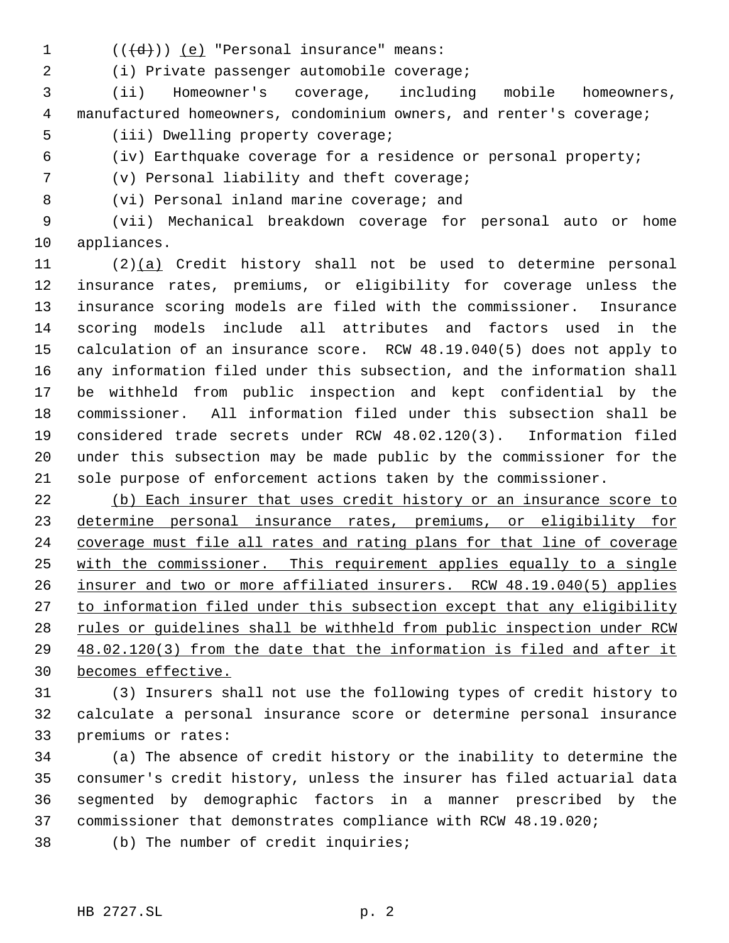- 
- 1  $((\{d\})\)$  (e) "Personal insurance" means:

(i) Private passenger automobile coverage;

 (ii) Homeowner's coverage, including mobile homeowners, manufactured homeowners, condominium owners, and renter's coverage; (iii) Dwelling property coverage;

(iv) Earthquake coverage for a residence or personal property;

(v) Personal liability and theft coverage;

8 (vi) Personal inland marine coverage; and

 (vii) Mechanical breakdown coverage for personal auto or home appliances.

 (2)(a) Credit history shall not be used to determine personal insurance rates, premiums, or eligibility for coverage unless the insurance scoring models are filed with the commissioner. Insurance scoring models include all attributes and factors used in the calculation of an insurance score. RCW 48.19.040(5) does not apply to any information filed under this subsection, and the information shall be withheld from public inspection and kept confidential by the commissioner. All information filed under this subsection shall be considered trade secrets under RCW 48.02.120(3). Information filed under this subsection may be made public by the commissioner for the sole purpose of enforcement actions taken by the commissioner.

 (b) Each insurer that uses credit history or an insurance score to 23 determine personal insurance rates, premiums, or eligibility for coverage must file all rates and rating plans for that line of coverage with the commissioner. This requirement applies equally to a single insurer and two or more affiliated insurers. RCW 48.19.040(5) applies to information filed under this subsection except that any eligibility 28 rules or guidelines shall be withheld from public inspection under RCW 48.02.120(3) from the date that the information is filed and after it becomes effective.

 (3) Insurers shall not use the following types of credit history to calculate a personal insurance score or determine personal insurance premiums or rates:

 (a) The absence of credit history or the inability to determine the consumer's credit history, unless the insurer has filed actuarial data segmented by demographic factors in a manner prescribed by the commissioner that demonstrates compliance with RCW 48.19.020;

(b) The number of credit inquiries;